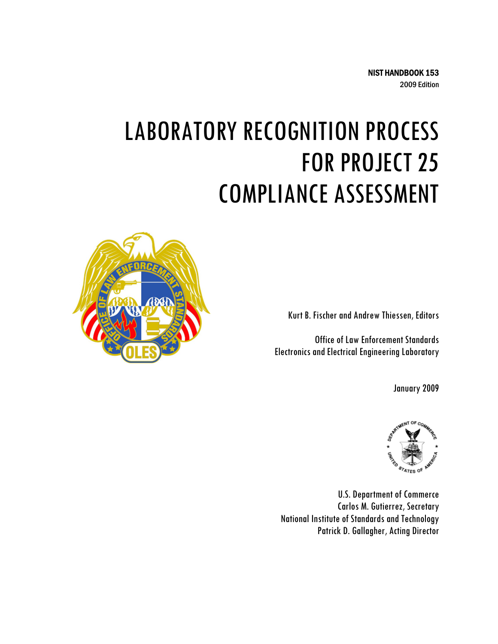# LABORATORY RECOGNITION PROCESS FOR PROJECT 25 COMPLIANCE ASSESSMENT



Kurt B. Fischer and Andrew Thiessen, Editors

Office of Law Enforcement Standards Electronics and Electrical Engineering Laboratory

January 2009



U.S. Department of Commerce Carlos M. Gutierrez, Secretary National Institute of Standards and Technology Patrick D. Gallagher, Acting Director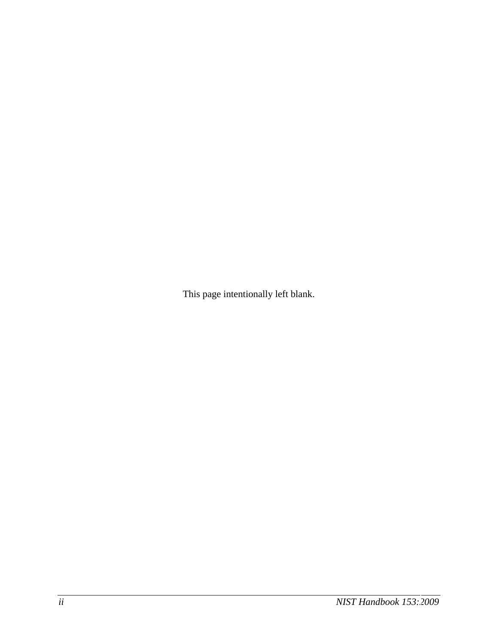This page intentionally left blank.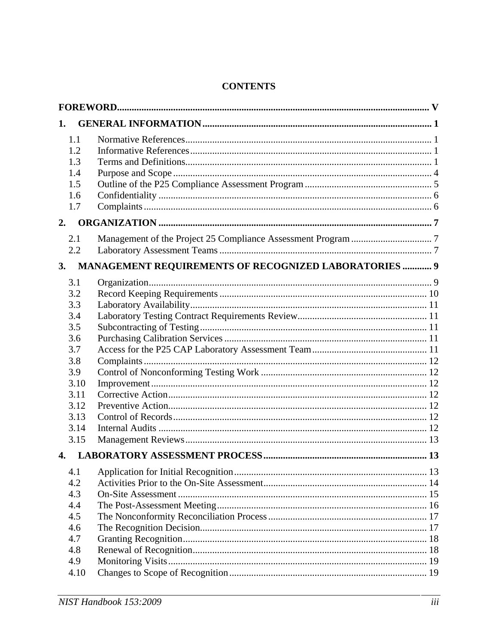# **CONTENTS**

| 1.                                                                                                          |                                                       |  |
|-------------------------------------------------------------------------------------------------------------|-------------------------------------------------------|--|
| 1.1<br>1.2<br>1.3<br>1.4<br>1.5<br>1.6<br>1.7                                                               |                                                       |  |
| 2.                                                                                                          |                                                       |  |
| 2.1<br>2.2                                                                                                  |                                                       |  |
| 3.                                                                                                          | MANAGEMENT REQUIREMENTS OF RECOGNIZED LABORATORIES  9 |  |
| 3.1<br>3.2<br>3.3<br>3.4<br>3.5<br>3.6<br>3.7<br>3.8<br>3.9<br>3.10<br>3.11<br>3.12<br>3.13<br>3.14<br>3.15 |                                                       |  |
| $\overline{4}$ .                                                                                            |                                                       |  |
| 4.1<br>4.2<br>4.3<br>4.4<br>4.5<br>4.6<br>4.7<br>4.8<br>4.9<br>4.10                                         |                                                       |  |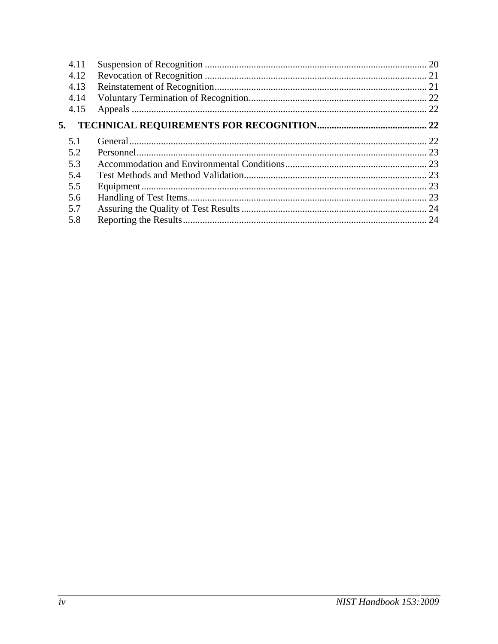| 23 |
|----|
|    |
|    |
|    |
|    |
|    |
|    |
|    |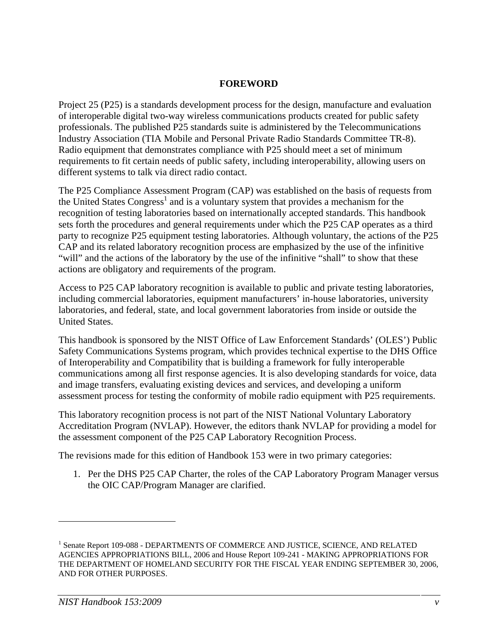#### **FOREWORD**

Project 25 (P25) is a standards development process for the design, manufacture and evaluation of interoperable digital two-way wireless communications products created for public safety professionals. The published P25 standards suite is administered by the Telecommunications Industry Association (TIA Mobile and Personal Private Radio Standards Committee TR-8). Radio equipment that demonstrates compliance with P25 should meet a set of minimum requirements to fit certain needs of public safety, including interoperability, allowing users on different systems to talk via direct radio contact.

The P25 Compliance Assessment Program (CAP) was established on the basis of requests from the United States Congress<sup>1</sup> and is a voluntary system that provides a mechanism for the recognition of testing laboratories based on internationally accepted standards. This handbook sets forth the procedures and general requirements under which the P25 CAP operates as a third party to recognize P25 equipment testing laboratories. Although voluntary, the actions of the P25 CAP and its related laboratory recognition process are emphasized by the use of the infinitive "will" and the actions of the laboratory by the use of the infinitive "shall" to show that these actions are obligatory and requirements of the program.

Access to P25 CAP laboratory recognition is available to public and private testing laboratories, including commercial laboratories, equipment manufacturers' in-house laboratories, university laboratories, and federal, state, and local government laboratories from inside or outside the United States.

This handbook is sponsored by the NIST Office of Law Enforcement Standards' (OLES') Public Safety Communications Systems program, which provides technical expertise to the DHS Office of Interoperability and Compatibility that is building a framework for fully interoperable communications among all first response agencies. It is also developing standards for voice, data and image transfers, evaluating existing devices and services, and developing a uniform assessment process for testing the conformity of mobile radio equipment with P25 requirements.

This laboratory recognition process is not part of the NIST National Voluntary Laboratory Accreditation Program (NVLAP). However, the editors thank NVLAP for providing a model for the assessment component of the P25 CAP Laboratory Recognition Process.

The revisions made for this edition of Handbook 153 were in two primary categories:

1. Per the DHS P25 CAP Charter, the roles of the CAP Laboratory Program Manager versus the OIC CAP/Program Manager are clarified.

<u>.</u>

<sup>&</sup>lt;sup>1</sup> Senate Report 109-088 - DEPARTMENTS OF COMMERCE AND JUSTICE, SCIENCE, AND RELATED AGENCIES APPROPRIATIONS BILL, 2006 and House Report 109-241 - MAKING APPROPRIATIONS FOR THE DEPARTMENT OF HOMELAND SECURITY FOR THE FISCAL YEAR ENDING SEPTEMBER 30, 2006, AND FOR OTHER PURPOSES.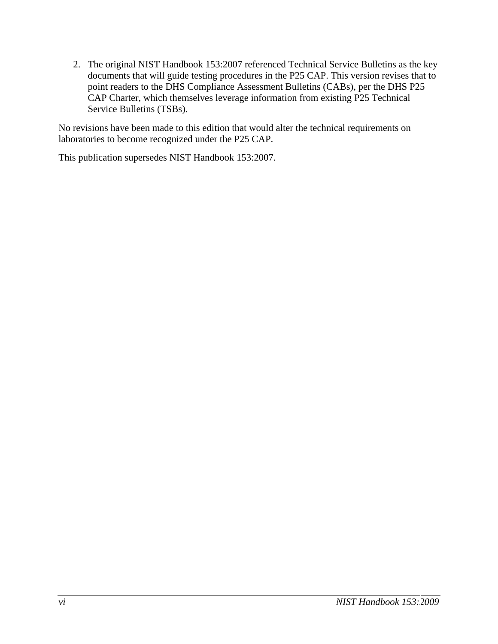2. The original NIST Handbook 153:2007 referenced Technical Service Bulletins as the key documents that will guide testing procedures in the P25 CAP. This version revises that to point readers to the DHS Compliance Assessment Bulletins (CABs), per the DHS P25 CAP Charter, which themselves leverage information from existing P25 Technical Service Bulletins (TSBs).

No revisions have been made to this edition that would alter the technical requirements on laboratories to become recognized under the P25 CAP.

This publication supersedes NIST Handbook 153:2007.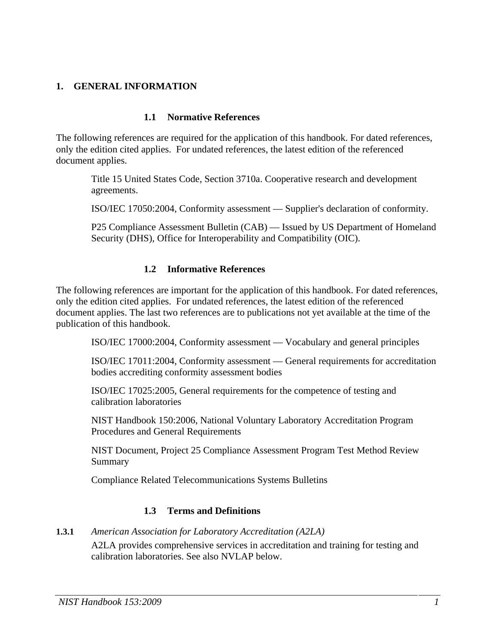## **1. GENERAL INFORMATION**

#### **1.1 Normative References**

The following references are required for the application of this handbook. For dated references, only the edition cited applies. For undated references, the latest edition of the referenced document applies.

Title 15 United States Code, Section 3710a. Cooperative research and development agreements.

ISO/IEC 17050:2004, Conformity assessment — Supplier's declaration of conformity.

P25 Compliance Assessment Bulletin (CAB) — Issued by US Department of Homeland Security (DHS), Office for Interoperability and Compatibility (OIC).

#### **1.2 Informative References**

The following references are important for the application of this handbook. For dated references, only the edition cited applies. For undated references, the latest edition of the referenced document applies. The last two references are to publications not yet available at the time of the publication of this handbook.

ISO/IEC 17000:2004, Conformity assessment — Vocabulary and general principles

ISO/IEC 17011:2004, Conformity assessment — General requirements for accreditation bodies accrediting conformity assessment bodies

ISO/IEC 17025:2005, General requirements for the competence of testing and calibration laboratories

NIST Handbook 150:2006, National Voluntary Laboratory Accreditation Program Procedures and General Requirements

NIST Document, Project 25 Compliance Assessment Program Test Method Review Summary

Compliance Related Telecommunications Systems Bulletins

#### **1.3 Terms and Definitions**

#### **1.3.1** *American Association for Laboratory Accreditation (A2LA)*

A2LA provides comprehensive services in accreditation and training for testing and calibration laboratories. See also NVLAP below.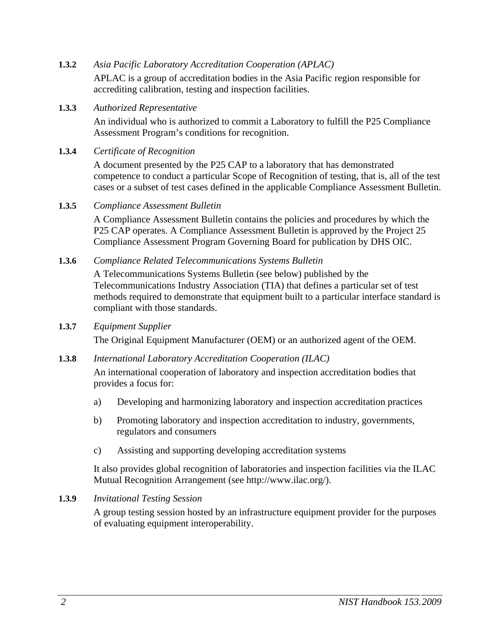**1.3.2** *Asia Pacific Laboratory Accreditation Cooperation (APLAC)* 

APLAC is a group of accreditation bodies in the Asia Pacific region responsible for accrediting calibration, testing and inspection facilities.

**1.3.3** *Authorized Representative* 

An individual who is authorized to commit a Laboratory to fulfill the P25 Compliance Assessment Program's conditions for recognition.

**1.3.4** *Certificate of Recognition* 

A document presented by the P25 CAP to a laboratory that has demonstrated competence to conduct a particular Scope of Recognition of testing, that is, all of the test cases or a subset of test cases defined in the applicable Compliance Assessment Bulletin.

**1.3.5** *Compliance Assessment Bulletin* 

A Compliance Assessment Bulletin contains the policies and procedures by which the P25 CAP operates. A Compliance Assessment Bulletin is approved by the Project 25 Compliance Assessment Program Governing Board for publication by DHS OIC.

**1.3.6** *Compliance Related Telecommunications Systems Bulletin* 

A Telecommunications Systems Bulletin (see below) published by the Telecommunications Industry Association (TIA) that defines a particular set of test methods required to demonstrate that equipment built to a particular interface standard is compliant with those standards.

**1.3.7** *Equipment Supplier* 

The Original Equipment Manufacturer (OEM) or an authorized agent of the OEM.

**1.3.8** *International Laboratory Accreditation Cooperation (ILAC)* 

An international cooperation of laboratory and inspection accreditation bodies that provides a focus for:

- a) Developing and harmonizing laboratory and inspection accreditation practices
- b) Promoting laboratory and inspection accreditation to industry, governments, regulators and consumers
- c) Assisting and supporting developing accreditation systems

It also provides global recognition of laboratories and inspection facilities via the ILAC Mutual Recognition Arrangement (see http://www.ilac.org/).

**1.3.9** *Invitational Testing Session* 

A group testing session hosted by an infrastructure equipment provider for the purposes of evaluating equipment interoperability.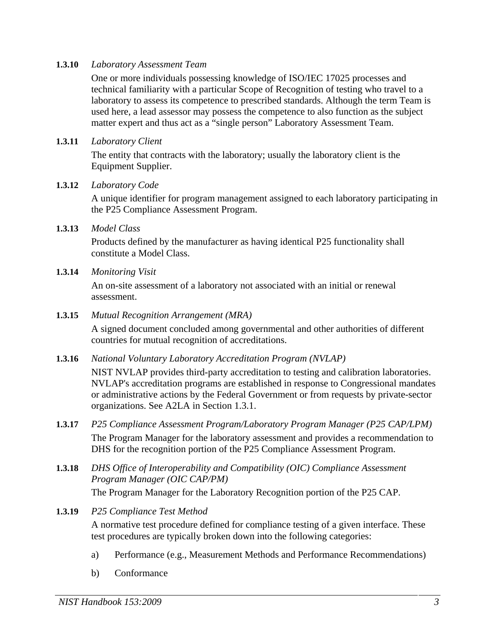#### **1.3.10** *Laboratory Assessment Team*

One or more individuals possessing knowledge of ISO/IEC 17025 processes and technical familiarity with a particular Scope of Recognition of testing who travel to a laboratory to assess its competence to prescribed standards. Although the term Team is used here, a lead assessor may possess the competence to also function as the subject matter expert and thus act as a "single person" Laboratory Assessment Team.

#### **1.3.11** *Laboratory Client*

The entity that contracts with the laboratory; usually the laboratory client is the Equipment Supplier.

#### **1.3.12** *Laboratory Code*

A unique identifier for program management assigned to each laboratory participating in the P25 Compliance Assessment Program.

**1.3.13** *Model Class* 

Products defined by the manufacturer as having identical P25 functionality shall constitute a Model Class.

**1.3.14** *Monitoring Visit* 

An on-site assessment of a laboratory not associated with an initial or renewal assessment.

**1.3.15** *Mutual Recognition Arrangement (MRA)* 

A signed document concluded among governmental and other authorities of different countries for mutual recognition of accreditations.

**1.3.16** *National Voluntary Laboratory Accreditation Program (NVLAP)* 

NIST NVLAP provides third-party accreditation to testing and calibration laboratories. NVLAP's accreditation programs are established in response to Congressional mandates or administrative actions by the Federal Government or from requests by private-sector organizations. See A2LA in Section 1.3.1.

- **1.3.17** *P25 Compliance Assessment Program/Laboratory Program Manager (P25 CAP/LPM)*  The Program Manager for the laboratory assessment and provides a recommendation to DHS for the recognition portion of the P25 Compliance Assessment Program.
- **1.3.18** *DHS Office of Interoperability and Compatibility (OIC) Compliance Assessment Program Manager (OIC CAP/PM)*  The Program Manager for the Laboratory Recognition portion of the P25 CAP.
- **1.3.19** *P25 Compliance Test Method*

A normative test procedure defined for compliance testing of a given interface. These test procedures are typically broken down into the following categories:

- a) Performance (e.g., Measurement Methods and Performance Recommendations)
- b) Conformance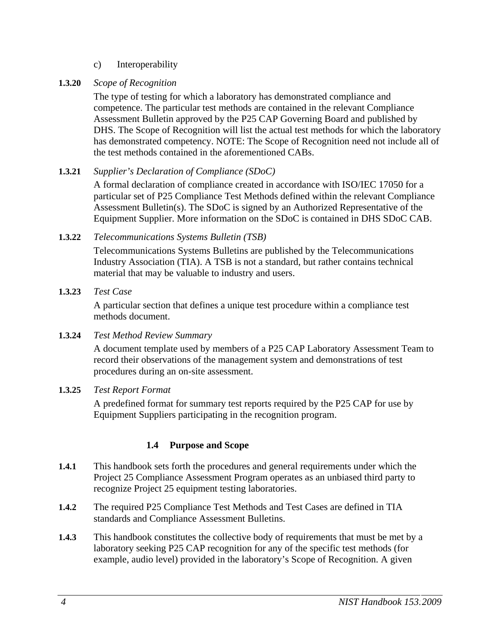#### c) Interoperability

#### **1.3.20** *Scope of Recognition*

The type of testing for which a laboratory has demonstrated compliance and competence. The particular test methods are contained in the relevant Compliance Assessment Bulletin approved by the P25 CAP Governing Board and published by DHS. The Scope of Recognition will list the actual test methods for which the laboratory has demonstrated competency. NOTE: The Scope of Recognition need not include all of the test methods contained in the aforementioned CABs.

## **1.3.21** *Supplier's Declaration of Compliance (SDoC)*

A formal declaration of compliance created in accordance with ISO/IEC 17050 for a particular set of P25 Compliance Test Methods defined within the relevant Compliance Assessment Bulletin(s). The SDoC is signed by an Authorized Representative of the Equipment Supplier. More information on the SDoC is contained in DHS SDoC CAB.

## **1.3.22** *Telecommunications Systems Bulletin (TSB)*

Telecommunications Systems Bulletins are published by the Telecommunications Industry Association (TIA). A TSB is not a standard, but rather contains technical material that may be valuable to industry and users.

#### **1.3.23** *Test Case*

A particular section that defines a unique test procedure within a compliance test methods document.

#### **1.3.24** *Test Method Review Summary*

A document template used by members of a P25 CAP Laboratory Assessment Team to record their observations of the management system and demonstrations of test procedures during an on-site assessment.

#### **1.3.25** *Test Report Format*

A predefined format for summary test reports required by the P25 CAP for use by Equipment Suppliers participating in the recognition program.

## **1.4 Purpose and Scope**

- **1.4.1** This handbook sets forth the procedures and general requirements under which the Project 25 Compliance Assessment Program operates as an unbiased third party to recognize Project 25 equipment testing laboratories.
- **1.4.2** The required P25 Compliance Test Methods and Test Cases are defined in TIA standards and Compliance Assessment Bulletins.
- **1.4.3** This handbook constitutes the collective body of requirements that must be met by a laboratory seeking P25 CAP recognition for any of the specific test methods (for example, audio level) provided in the laboratory's Scope of Recognition. A given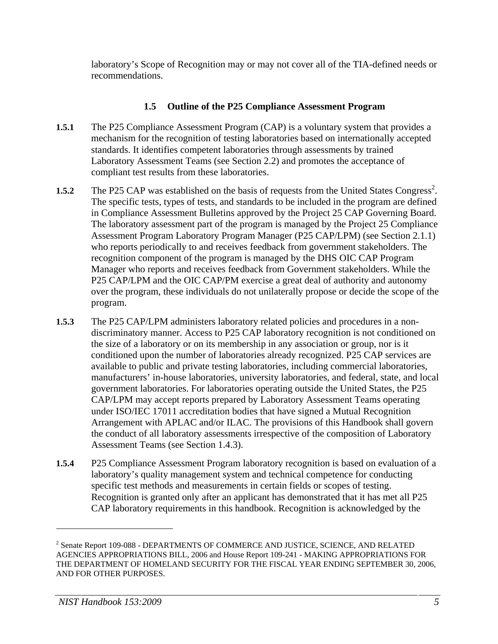laboratory's Scope of Recognition may or may not cover all of the TIA-defined needs or recommendations.

## **1.5 Outline of the P25 Compliance Assessment Program**

- **1.5.1** The P25 Compliance Assessment Program (CAP) is a voluntary system that provides a mechanism for the recognition of testing laboratories based on internationally accepted standards. It identifies competent laboratories through assessments by trained Laboratory Assessment Teams (see Section 2.2) and promotes the acceptance of compliant test results from these laboratories.
- **1.5.2** The P25 CAP was established on the basis of requests from the United States Congress<sup>2</sup>. The specific tests, types of tests, and standards to be included in the program are defined in Compliance Assessment Bulletins approved by the Project 25 CAP Governing Board. The laboratory assessment part of the program is managed by the Project 25 Compliance Assessment Program Laboratory Program Manager (P25 CAP/LPM) (see Section 2.1.1) who reports periodically to and receives feedback from government stakeholders. The recognition component of the program is managed by the DHS OIC CAP Program Manager who reports and receives feedback from Government stakeholders. While the P25 CAP/LPM and the OIC CAP/PM exercise a great deal of authority and autonomy over the program, these individuals do not unilaterally propose or decide the scope of the program.
- **1.5.3** The P25 CAP/LPM administers laboratory related policies and procedures in a nondiscriminatory manner. Access to P25 CAP laboratory recognition is not conditioned on the size of a laboratory or on its membership in any association or group, nor is it conditioned upon the number of laboratories already recognized. P25 CAP services are available to public and private testing laboratories, including commercial laboratories, manufacturers' in-house laboratories, university laboratories, and federal, state, and local government laboratories. For laboratories operating outside the United States, the P25 CAP/LPM may accept reports prepared by Laboratory Assessment Teams operating under ISO/IEC 17011 accreditation bodies that have signed a Mutual Recognition Arrangement with APLAC and/or ILAC. The provisions of this Handbook shall govern the conduct of all laboratory assessments irrespective of the composition of Laboratory Assessment Teams (see Section 1.4.3).
- **1.5.4** P25 Compliance Assessment Program laboratory recognition is based on evaluation of a laboratory's quality management system and technical competence for conducting specific test methods and measurements in certain fields or scopes of testing. Recognition is granted only after an applicant has demonstrated that it has met all P25 CAP laboratory requirements in this handbook. Recognition is acknowledged by the

 $\overline{a}$ 

<sup>2</sup> Senate Report 109-088 - DEPARTMENTS OF COMMERCE AND JUSTICE, SCIENCE, AND RELATED AGENCIES APPROPRIATIONS BILL, 2006 and House Report 109-241 - MAKING APPROPRIATIONS FOR THE DEPARTMENT OF HOMELAND SECURITY FOR THE FISCAL YEAR ENDING SEPTEMBER 30, 2006, AND FOR OTHER PURPOSES.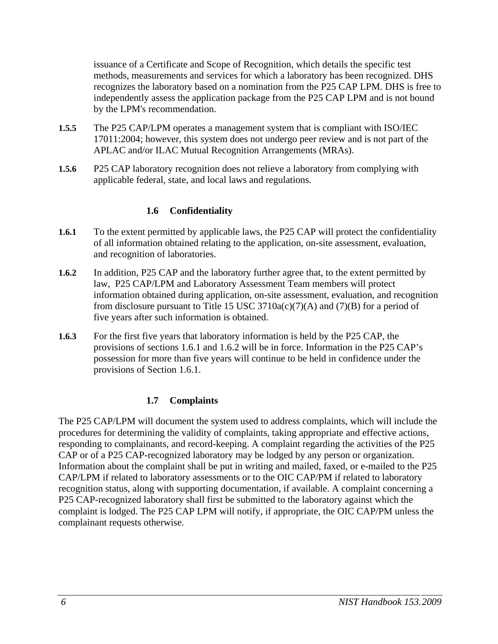issuance of a Certificate and Scope of Recognition, which details the specific test methods, measurements and services for which a laboratory has been recognized. DHS recognizes the laboratory based on a nomination from the P25 CAP LPM. DHS is free to independently assess the application package from the P25 CAP LPM and is not bound by the LPM's recommendation.

- **1.5.5** The P25 CAP/LPM operates a management system that is compliant with ISO/IEC 17011:2004; however, this system does not undergo peer review and is not part of the APLAC and/or ILAC Mutual Recognition Arrangements (MRAs).
- **1.5.6** P25 CAP laboratory recognition does not relieve a laboratory from complying with applicable federal, state, and local laws and regulations.

#### **1.6 Confidentiality**

- **1.6.1** To the extent permitted by applicable laws, the P25 CAP will protect the confidentiality of all information obtained relating to the application, on-site assessment, evaluation, and recognition of laboratories.
- **1.6.2** In addition, P25 CAP and the laboratory further agree that, to the extent permitted by law, P25 CAP/LPM and Laboratory Assessment Team members will protect information obtained during application, on-site assessment, evaluation, and recognition from disclosure pursuant to Title 15 USC  $3710a(c)(7)(A)$  and  $(7)(B)$  for a period of five years after such information is obtained.
- **1.6.3** For the first five years that laboratory information is held by the P25 CAP, the provisions of sections 1.6.1 and 1.6.2 will be in force. Information in the P25 CAP's possession for more than five years will continue to be held in confidence under the provisions of Section 1.6.1.

## **1.7 Complaints**

The P25 CAP/LPM will document the system used to address complaints, which will include the procedures for determining the validity of complaints, taking appropriate and effective actions, responding to complainants, and record-keeping. A complaint regarding the activities of the P25 CAP or of a P25 CAP-recognized laboratory may be lodged by any person or organization. Information about the complaint shall be put in writing and mailed, faxed, or e-mailed to the P25 CAP/LPM if related to laboratory assessments or to the OIC CAP/PM if related to laboratory recognition status, along with supporting documentation, if available. A complaint concerning a P25 CAP-recognized laboratory shall first be submitted to the laboratory against which the complaint is lodged. The P25 CAP LPM will notify, if appropriate, the OIC CAP/PM unless the complainant requests otherwise.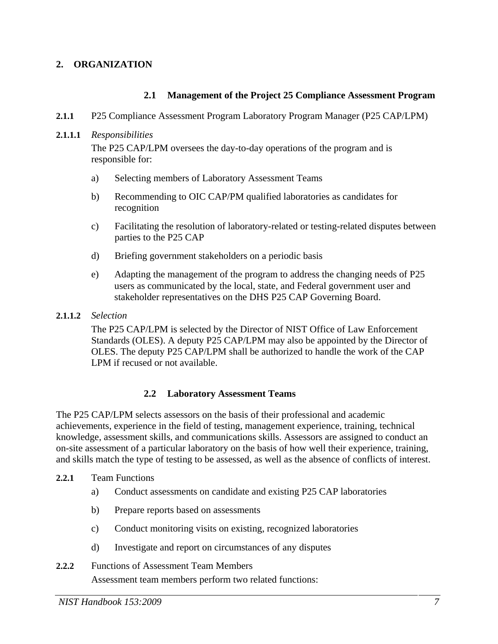## **2. ORGANIZATION**

#### **2.1 Management of the Project 25 Compliance Assessment Program**

**2.1.1** P25 Compliance Assessment Program Laboratory Program Manager (P25 CAP/LPM)

#### **2.1.1.1** *Responsibilities*

The P25 CAP/LPM oversees the day-to-day operations of the program and is responsible for:

- a) Selecting members of Laboratory Assessment Teams
- b) Recommending to OIC CAP/PM qualified laboratories as candidates for recognition
- c) Facilitating the resolution of laboratory-related or testing-related disputes between parties to the P25 CAP
- d) Briefing government stakeholders on a periodic basis
- e) Adapting the management of the program to address the changing needs of P25 users as communicated by the local, state, and Federal government user and stakeholder representatives on the DHS P25 CAP Governing Board.
- **2.1.1.2** *Selection*

The P25 CAP/LPM is selected by the Director of NIST Office of Law Enforcement Standards (OLES). A deputy P25 CAP/LPM may also be appointed by the Director of OLES. The deputy P25 CAP/LPM shall be authorized to handle the work of the CAP LPM if recused or not available.

## **2.2 Laboratory Assessment Teams**

The P25 CAP/LPM selects assessors on the basis of their professional and academic achievements, experience in the field of testing, management experience, training, technical knowledge, assessment skills, and communications skills. Assessors are assigned to conduct an on-site assessment of a particular laboratory on the basis of how well their experience, training, and skills match the type of testing to be assessed, as well as the absence of conflicts of interest.

- **2.2.1** Team Functions
	- a) Conduct assessments on candidate and existing P25 CAP laboratories
	- b) Prepare reports based on assessments
	- c) Conduct monitoring visits on existing, recognized laboratories
	- d) Investigate and report on circumstances of any disputes
- **2.2.2** Functions of Assessment Team Members Assessment team members perform two related functions: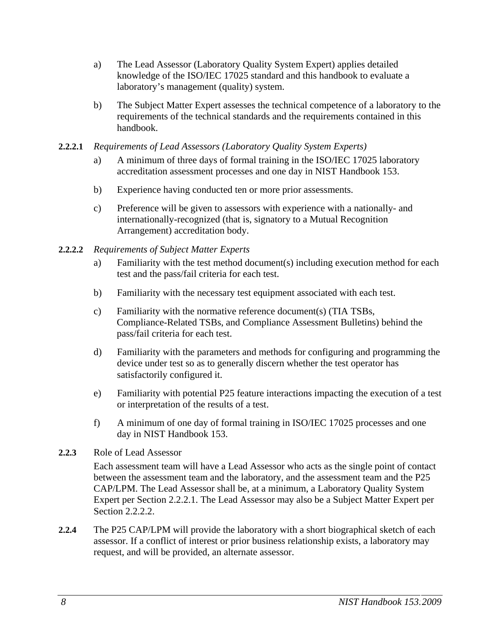- a) The Lead Assessor (Laboratory Quality System Expert) applies detailed knowledge of the ISO/IEC 17025 standard and this handbook to evaluate a laboratory's management (quality) system.
- b) The Subject Matter Expert assesses the technical competence of a laboratory to the requirements of the technical standards and the requirements contained in this handbook.
- **2.2.2.1** *Requirements of Lead Assessors (Laboratory Quality System Experts)* 
	- a) A minimum of three days of formal training in the ISO/IEC 17025 laboratory accreditation assessment processes and one day in NIST Handbook 153.
	- b) Experience having conducted ten or more prior assessments.
	- c) Preference will be given to assessors with experience with a nationally- and internationally-recognized (that is, signatory to a Mutual Recognition Arrangement) accreditation body.
- **2.2.2.2** *Requirements of Subject Matter Experts* 
	- a) Familiarity with the test method document(s) including execution method for each test and the pass/fail criteria for each test.
	- b) Familiarity with the necessary test equipment associated with each test.
	- c) Familiarity with the normative reference document(s) (TIA TSBs, Compliance-Related TSBs, and Compliance Assessment Bulletins) behind the pass/fail criteria for each test.
	- d) Familiarity with the parameters and methods for configuring and programming the device under test so as to generally discern whether the test operator has satisfactorily configured it.
	- e) Familiarity with potential P25 feature interactions impacting the execution of a test or interpretation of the results of a test.
	- f) A minimum of one day of formal training in ISO/IEC 17025 processes and one day in NIST Handbook 153.
- **2.2.3** Role of Lead Assessor

Each assessment team will have a Lead Assessor who acts as the single point of contact between the assessment team and the laboratory, and the assessment team and the P25 CAP/LPM. The Lead Assessor shall be, at a minimum, a Laboratory Quality System Expert per Section 2.2.2.1. The Lead Assessor may also be a Subject Matter Expert per Section 2.2.2.2.

**2.2.4** The P25 CAP/LPM will provide the laboratory with a short biographical sketch of each assessor. If a conflict of interest or prior business relationship exists, a laboratory may request, and will be provided, an alternate assessor.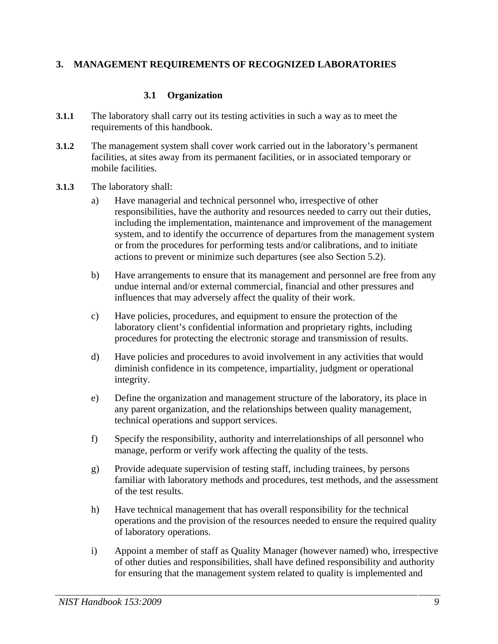# **3. MANAGEMENT REQUIREMENTS OF RECOGNIZED LABORATORIES**

## **3.1 Organization**

- **3.1.1** The laboratory shall carry out its testing activities in such a way as to meet the requirements of this handbook.
- **3.1.2** The management system shall cover work carried out in the laboratory's permanent facilities, at sites away from its permanent facilities, or in associated temporary or mobile facilities.
- **3.1.3** The laboratory shall:
	- a) Have managerial and technical personnel who, irrespective of other responsibilities, have the authority and resources needed to carry out their duties, including the implementation, maintenance and improvement of the management system, and to identify the occurrence of departures from the management system or from the procedures for performing tests and/or calibrations, and to initiate actions to prevent or minimize such departures (see also Section 5.2).
	- b) Have arrangements to ensure that its management and personnel are free from any undue internal and/or external commercial, financial and other pressures and influences that may adversely affect the quality of their work.
	- c) Have policies, procedures, and equipment to ensure the protection of the laboratory client's confidential information and proprietary rights, including procedures for protecting the electronic storage and transmission of results.
	- d) Have policies and procedures to avoid involvement in any activities that would diminish confidence in its competence, impartiality, judgment or operational integrity.
	- e) Define the organization and management structure of the laboratory, its place in any parent organization, and the relationships between quality management, technical operations and support services.
	- f) Specify the responsibility, authority and interrelationships of all personnel who manage, perform or verify work affecting the quality of the tests.
	- g) Provide adequate supervision of testing staff, including trainees, by persons familiar with laboratory methods and procedures, test methods, and the assessment of the test results.
	- h) Have technical management that has overall responsibility for the technical operations and the provision of the resources needed to ensure the required quality of laboratory operations.
	- i) Appoint a member of staff as Quality Manager (however named) who, irrespective of other duties and responsibilities, shall have defined responsibility and authority for ensuring that the management system related to quality is implemented and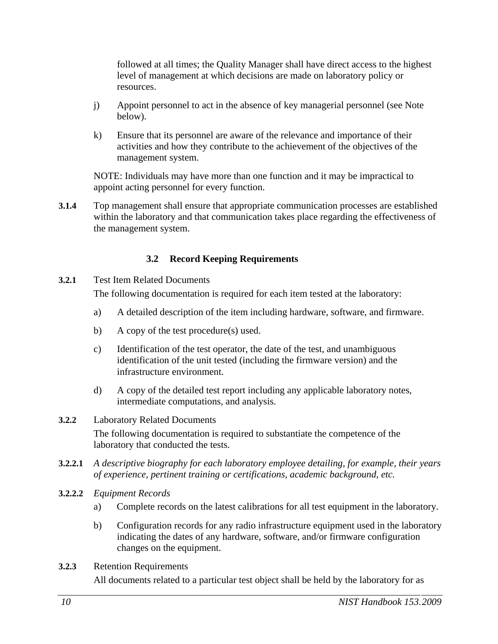followed at all times; the Quality Manager shall have direct access to the highest level of management at which decisions are made on laboratory policy or resources.

- j) Appoint personnel to act in the absence of key managerial personnel (see Note below).
- k) Ensure that its personnel are aware of the relevance and importance of their activities and how they contribute to the achievement of the objectives of the management system.

NOTE: Individuals may have more than one function and it may be impractical to appoint acting personnel for every function.

**3.1.4** Top management shall ensure that appropriate communication processes are established within the laboratory and that communication takes place regarding the effectiveness of the management system.

## **3.2 Record Keeping Requirements**

**3.2.1** Test Item Related Documents

The following documentation is required for each item tested at the laboratory:

- a) A detailed description of the item including hardware, software, and firmware.
- b) A copy of the test procedure(s) used.
- c) Identification of the test operator, the date of the test, and unambiguous identification of the unit tested (including the firmware version) and the infrastructure environment.
- d) A copy of the detailed test report including any applicable laboratory notes, intermediate computations, and analysis.
- **3.2.2** Laboratory Related Documents The following documentation is required to substantiate the competence of the laboratory that conducted the tests.
- **3.2.2.1** *A descriptive biography for each laboratory employee detailing, for example, their years of experience, pertinent training or certifications, academic background, etc.*
- **3.2.2.2** *Equipment Records* 
	- a) Complete records on the latest calibrations for all test equipment in the laboratory.
	- b) Configuration records for any radio infrastructure equipment used in the laboratory indicating the dates of any hardware, software, and/or firmware configuration changes on the equipment.

#### **3.2.3** Retention Requirements

All documents related to a particular test object shall be held by the laboratory for as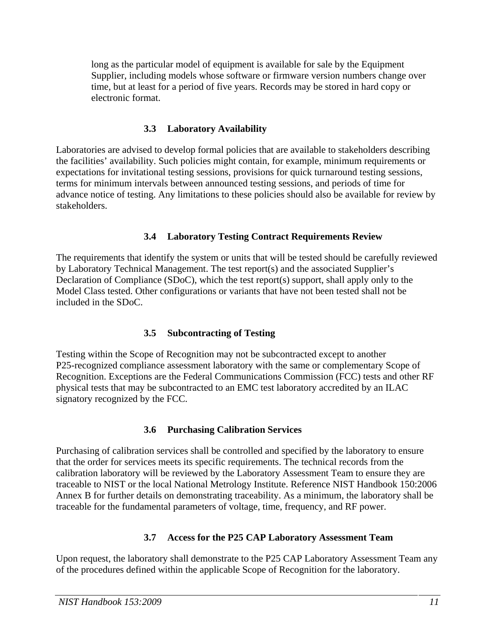long as the particular model of equipment is available for sale by the Equipment Supplier, including models whose software or firmware version numbers change over time, but at least for a period of five years. Records may be stored in hard copy or electronic format.

# **3.3 Laboratory Availability**

Laboratories are advised to develop formal policies that are available to stakeholders describing the facilities' availability. Such policies might contain, for example, minimum requirements or expectations for invitational testing sessions, provisions for quick turnaround testing sessions, terms for minimum intervals between announced testing sessions, and periods of time for advance notice of testing. Any limitations to these policies should also be available for review by stakeholders.

# **3.4 Laboratory Testing Contract Requirements Review**

The requirements that identify the system or units that will be tested should be carefully reviewed by Laboratory Technical Management. The test report(s) and the associated Supplier's Declaration of Compliance (SDoC), which the test report(s) support, shall apply only to the Model Class tested. Other configurations or variants that have not been tested shall not be included in the SDoC.

## **3.5 Subcontracting of Testing**

Testing within the Scope of Recognition may not be subcontracted except to another P25-recognized compliance assessment laboratory with the same or complementary Scope of Recognition. Exceptions are the Federal Communications Commission (FCC) tests and other RF physical tests that may be subcontracted to an EMC test laboratory accredited by an ILAC signatory recognized by the FCC.

## **3.6 Purchasing Calibration Services**

Purchasing of calibration services shall be controlled and specified by the laboratory to ensure that the order for services meets its specific requirements. The technical records from the calibration laboratory will be reviewed by the Laboratory Assessment Team to ensure they are traceable to NIST or the local National Metrology Institute. Reference NIST Handbook 150:2006 Annex B for further details on demonstrating traceability. As a minimum, the laboratory shall be traceable for the fundamental parameters of voltage, time, frequency, and RF power.

# **3.7 Access for the P25 CAP Laboratory Assessment Team**

Upon request, the laboratory shall demonstrate to the P25 CAP Laboratory Assessment Team any of the procedures defined within the applicable Scope of Recognition for the laboratory.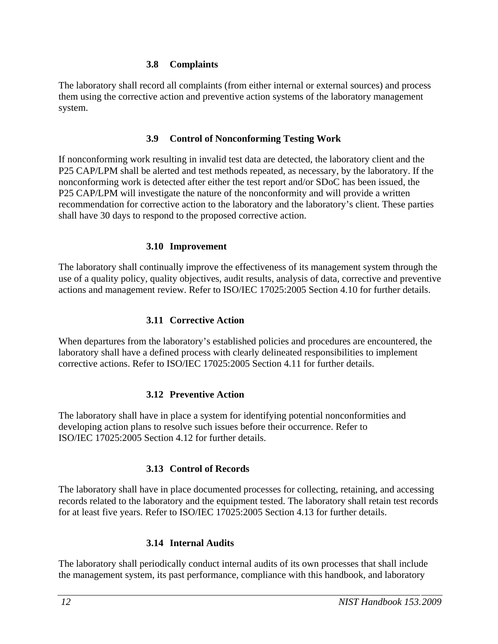#### **3.8 Complaints**

The laboratory shall record all complaints (from either internal or external sources) and process them using the corrective action and preventive action systems of the laboratory management system.

## **3.9 Control of Nonconforming Testing Work**

If nonconforming work resulting in invalid test data are detected, the laboratory client and the P25 CAP/LPM shall be alerted and test methods repeated, as necessary, by the laboratory. If the nonconforming work is detected after either the test report and/or SDoC has been issued, the P25 CAP/LPM will investigate the nature of the nonconformity and will provide a written recommendation for corrective action to the laboratory and the laboratory's client. These parties shall have 30 days to respond to the proposed corrective action.

#### **3.10 Improvement**

The laboratory shall continually improve the effectiveness of its management system through the use of a quality policy, quality objectives, audit results, analysis of data, corrective and preventive actions and management review. Refer to ISO/IEC 17025:2005 Section 4.10 for further details.

#### **3.11 Corrective Action**

When departures from the laboratory's established policies and procedures are encountered, the laboratory shall have a defined process with clearly delineated responsibilities to implement corrective actions. Refer to ISO/IEC 17025:2005 Section 4.11 for further details.

## **3.12 Preventive Action**

The laboratory shall have in place a system for identifying potential nonconformities and developing action plans to resolve such issues before their occurrence. Refer to ISO/IEC 17025:2005 Section 4.12 for further details.

## **3.13 Control of Records**

The laboratory shall have in place documented processes for collecting, retaining, and accessing records related to the laboratory and the equipment tested. The laboratory shall retain test records for at least five years. Refer to ISO/IEC 17025:2005 Section 4.13 for further details.

## **3.14 Internal Audits**

The laboratory shall periodically conduct internal audits of its own processes that shall include the management system, its past performance, compliance with this handbook, and laboratory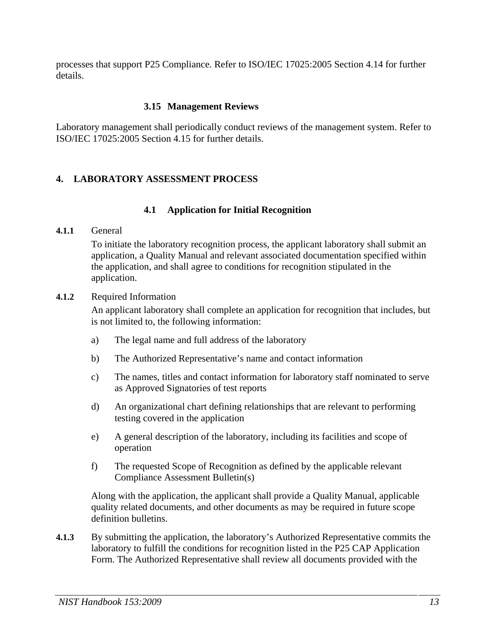processes that support P25 Compliance. Refer to ISO/IEC 17025:2005 Section 4.14 for further details.

## **3.15 Management Reviews**

Laboratory management shall periodically conduct reviews of the management system. Refer to ISO/IEC 17025:2005 Section 4.15 for further details.

# **4. LABORATORY ASSESSMENT PROCESS**

#### **4.1 Application for Initial Recognition**

#### **4.1.1** General

To initiate the laboratory recognition process, the applicant laboratory shall submit an application, a Quality Manual and relevant associated documentation specified within the application, and shall agree to conditions for recognition stipulated in the application.

#### **4.1.2** Required Information

An applicant laboratory shall complete an application for recognition that includes, but is not limited to, the following information:

- a) The legal name and full address of the laboratory
- b) The Authorized Representative's name and contact information
- c) The names, titles and contact information for laboratory staff nominated to serve as Approved Signatories of test reports
- d) An organizational chart defining relationships that are relevant to performing testing covered in the application
- e) A general description of the laboratory, including its facilities and scope of operation
- f) The requested Scope of Recognition as defined by the applicable relevant Compliance Assessment Bulletin(s)

Along with the application, the applicant shall provide a Quality Manual, applicable quality related documents, and other documents as may be required in future scope definition bulletins.

**4.1.3** By submitting the application, the laboratory's Authorized Representative commits the laboratory to fulfill the conditions for recognition listed in the P25 CAP Application Form. The Authorized Representative shall review all documents provided with the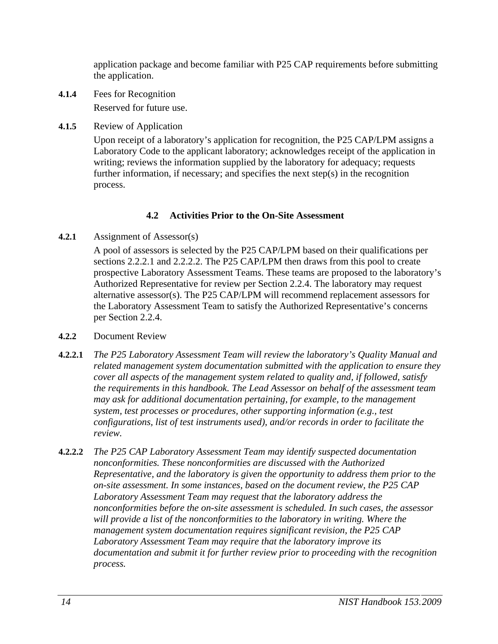application package and become familiar with P25 CAP requirements before submitting the application.

- **4.1.4** Fees for Recognition Reserved for future use.
- **4.1.5** Review of Application

Upon receipt of a laboratory's application for recognition, the P25 CAP/LPM assigns a Laboratory Code to the applicant laboratory; acknowledges receipt of the application in writing; reviews the information supplied by the laboratory for adequacy; requests further information, if necessary; and specifies the next step(s) in the recognition process.

## **4.2 Activities Prior to the On-Site Assessment**

**4.2.1** Assignment of Assessor(s)

A pool of assessors is selected by the P25 CAP/LPM based on their qualifications per sections 2.2.2.1 and 2.2.2.2. The P25 CAP/LPM then draws from this pool to create prospective Laboratory Assessment Teams. These teams are proposed to the laboratory's Authorized Representative for review per Section 2.2.4. The laboratory may request alternative assessor(s). The P25 CAP/LPM will recommend replacement assessors for the Laboratory Assessment Team to satisfy the Authorized Representative's concerns per Section 2.2.4.

- **4.2.2** Document Review
- **4.2.2.1** *The P25 Laboratory Assessment Team will review the laboratory's Quality Manual and related management system documentation submitted with the application to ensure they cover all aspects of the management system related to quality and, if followed, satisfy the requirements in this handbook. The Lead Assessor on behalf of the assessment team may ask for additional documentation pertaining, for example, to the management system, test processes or procedures, other supporting information (e.g., test configurations, list of test instruments used), and/or records in order to facilitate the review.*
- **4.2.2.2** *The P25 CAP Laboratory Assessment Team may identify suspected documentation nonconformities. These nonconformities are discussed with the Authorized Representative, and the laboratory is given the opportunity to address them prior to the on-site assessment. In some instances, based on the document review, the P25 CAP Laboratory Assessment Team may request that the laboratory address the nonconformities before the on-site assessment is scheduled. In such cases, the assessor will provide a list of the nonconformities to the laboratory in writing. Where the management system documentation requires significant revision, the P25 CAP Laboratory Assessment Team may require that the laboratory improve its documentation and submit it for further review prior to proceeding with the recognition process.*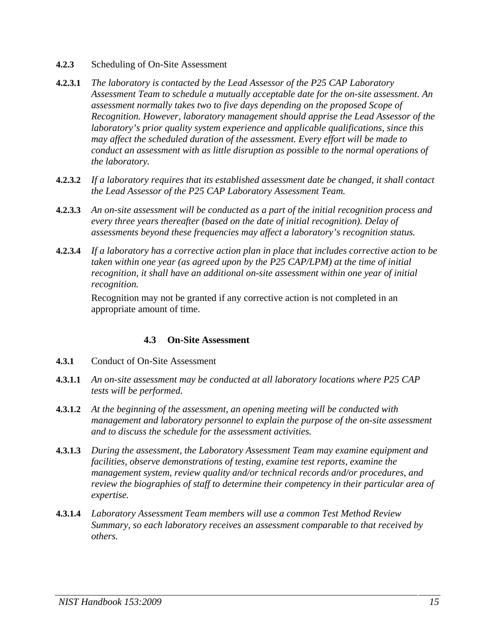- **4.2.3** Scheduling of On-Site Assessment
- **4.2.3.1** *The laboratory is contacted by the Lead Assessor of the P25 CAP Laboratory Assessment Team to schedule a mutually acceptable date for the on-site assessment. An assessment normally takes two to five days depending on the proposed Scope of Recognition. However, laboratory management should apprise the Lead Assessor of the laboratory's prior quality system experience and applicable qualifications, since this may affect the scheduled duration of the assessment. Every effort will be made to conduct an assessment with as little disruption as possible to the normal operations of the laboratory.*
- **4.2.3.2** *If a laboratory requires that its established assessment date be changed, it shall contact the Lead Assessor of the P25 CAP Laboratory Assessment Team.*
- **4.2.3.3** *An on-site assessment will be conducted as a part of the initial recognition process and every three years thereafter (based on the date of initial recognition). Delay of assessments beyond these frequencies may affect a laboratory's recognition status.*
- **4.2.3.4** *If a laboratory has a corrective action plan in place that includes corrective action to be taken within one year (as agreed upon by the P25 CAP/LPM) at the time of initial recognition, it shall have an additional on-site assessment within one year of initial recognition.*

Recognition may not be granted if any corrective action is not completed in an appropriate amount of time.

## **4.3 On-Site Assessment**

- **4.3.1** Conduct of On-Site Assessment
- **4.3.1.1** *An on-site assessment may be conducted at all laboratory locations where P25 CAP tests will be performed.*
- **4.3.1.2** *At the beginning of the assessment, an opening meeting will be conducted with management and laboratory personnel to explain the purpose of the on-site assessment and to discuss the schedule for the assessment activities.*
- **4.3.1.3** *During the assessment, the Laboratory Assessment Team may examine equipment and facilities, observe demonstrations of testing, examine test reports, examine the management system, review quality and/or technical records and/or procedures, and review the biographies of staff to determine their competency in their particular area of expertise.*
- **4.3.1.4** *Laboratory Assessment Team members will use a common Test Method Review Summary, so each laboratory receives an assessment comparable to that received by others.*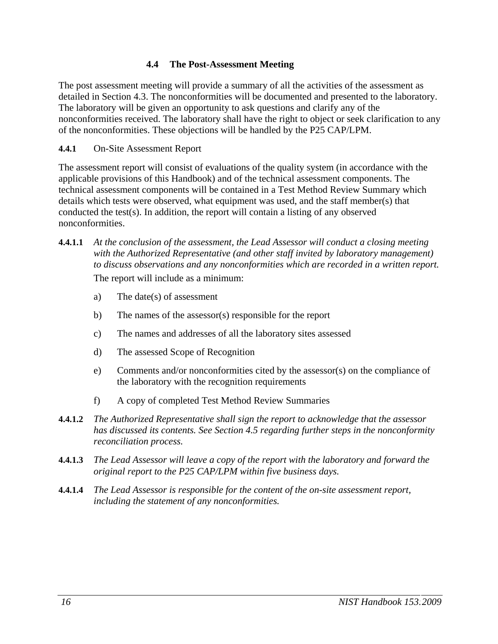#### **4.4 The Post-Assessment Meeting**

The post assessment meeting will provide a summary of all the activities of the assessment as detailed in Section 4.3. The nonconformities will be documented and presented to the laboratory. The laboratory will be given an opportunity to ask questions and clarify any of the nonconformities received. The laboratory shall have the right to object or seek clarification to any of the nonconformities. These objections will be handled by the P25 CAP/LPM.

#### **4.4.1** On-Site Assessment Report

The assessment report will consist of evaluations of the quality system (in accordance with the applicable provisions of this Handbook) and of the technical assessment components. The technical assessment components will be contained in a Test Method Review Summary which details which tests were observed, what equipment was used, and the staff member(s) that conducted the test(s). In addition, the report will contain a listing of any observed nonconformities.

- **4.4.1.1** *At the conclusion of the assessment, the Lead Assessor will conduct a closing meeting with the Authorized Representative (and other staff invited by laboratory management) to discuss observations and any nonconformities which are recorded in a written report.*  The report will include as a minimum:
	- a) The date(s) of assessment
	- b) The names of the assessor(s) responsible for the report
	- c) The names and addresses of all the laboratory sites assessed
	- d) The assessed Scope of Recognition
	- e) Comments and/or nonconformities cited by the assessor(s) on the compliance of the laboratory with the recognition requirements
	- f) A copy of completed Test Method Review Summaries
- **4.4.1.2** *The Authorized Representative shall sign the report to acknowledge that the assessor has discussed its contents. See Section 4.5 regarding further steps in the nonconformity reconciliation process.*
- **4.4.1.3** *The Lead Assessor will leave a copy of the report with the laboratory and forward the original report to the P25 CAP/LPM within five business days.*
- **4.4.1.4** *The Lead Assessor is responsible for the content of the on-site assessment report, including the statement of any nonconformities.*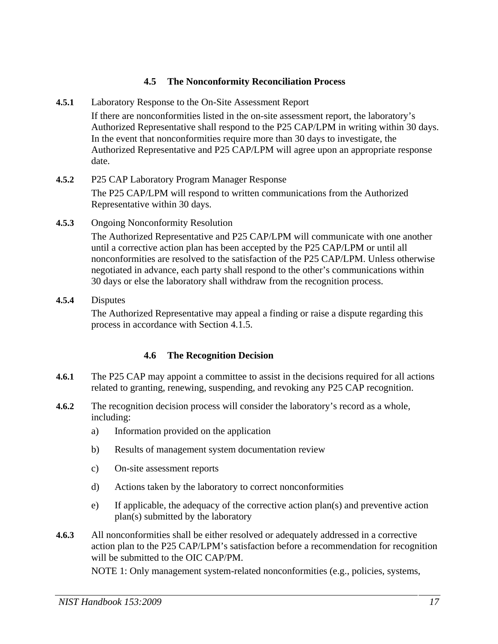#### **4.5 The Nonconformity Reconciliation Process**

**4.5.1** Laboratory Response to the On-Site Assessment Report

If there are nonconformities listed in the on-site assessment report, the laboratory's Authorized Representative shall respond to the P25 CAP/LPM in writing within 30 days. In the event that nonconformities require more than 30 days to investigate, the Authorized Representative and P25 CAP/LPM will agree upon an appropriate response date.

- **4.5.2** P25 CAP Laboratory Program Manager Response The P25 CAP/LPM will respond to written communications from the Authorized Representative within 30 days.
- **4.5.3** Ongoing Nonconformity Resolution

The Authorized Representative and P25 CAP/LPM will communicate with one another until a corrective action plan has been accepted by the P25 CAP/LPM or until all nonconformities are resolved to the satisfaction of the P25 CAP/LPM. Unless otherwise negotiated in advance, each party shall respond to the other's communications within 30 days or else the laboratory shall withdraw from the recognition process.

**4.5.4** Disputes

The Authorized Representative may appeal a finding or raise a dispute regarding this process in accordance with Section 4.1.5.

## **4.6 The Recognition Decision**

- **4.6.1** The P25 CAP may appoint a committee to assist in the decisions required for all actions related to granting, renewing, suspending, and revoking any P25 CAP recognition.
- **4.6.2** The recognition decision process will consider the laboratory's record as a whole, including:
	- a) Information provided on the application
	- b) Results of management system documentation review
	- c) On-site assessment reports
	- d) Actions taken by the laboratory to correct nonconformities
	- e) If applicable, the adequacy of the corrective action plan(s) and preventive action plan(s) submitted by the laboratory
- **4.6.3** All nonconformities shall be either resolved or adequately addressed in a corrective action plan to the P25 CAP/LPM's satisfaction before a recommendation for recognition will be submitted to the OIC CAP/PM.

NOTE 1: Only management system-related nonconformities (e.g., policies, systems,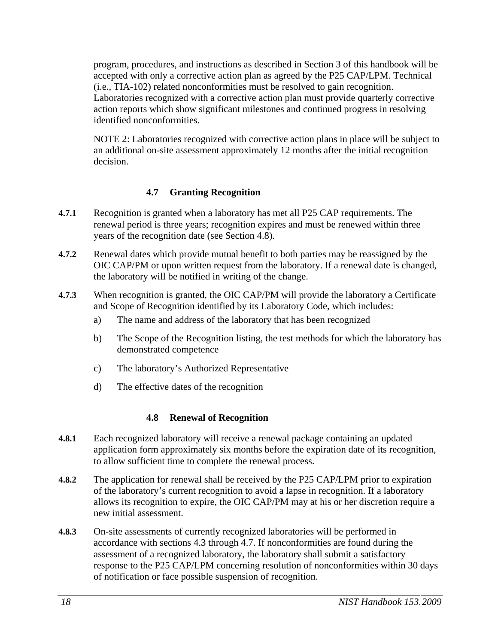program, procedures, and instructions as described in Section 3 of this handbook will be accepted with only a corrective action plan as agreed by the P25 CAP/LPM. Technical (i.e., TIA-102) related nonconformities must be resolved to gain recognition. Laboratories recognized with a corrective action plan must provide quarterly corrective action reports which show significant milestones and continued progress in resolving identified nonconformities.

NOTE 2: Laboratories recognized with corrective action plans in place will be subject to an additional on-site assessment approximately 12 months after the initial recognition decision.

## **4.7 Granting Recognition**

- **4.7.1** Recognition is granted when a laboratory has met all P25 CAP requirements. The renewal period is three years; recognition expires and must be renewed within three years of the recognition date (see Section 4.8).
- **4.7.2** Renewal dates which provide mutual benefit to both parties may be reassigned by the OIC CAP/PM or upon written request from the laboratory. If a renewal date is changed, the laboratory will be notified in writing of the change.
- **4.7.3** When recognition is granted, the OIC CAP/PM will provide the laboratory a Certificate and Scope of Recognition identified by its Laboratory Code, which includes:
	- a) The name and address of the laboratory that has been recognized
	- b) The Scope of the Recognition listing, the test methods for which the laboratory has demonstrated competence
	- c) The laboratory's Authorized Representative
	- d) The effective dates of the recognition

#### **4.8 Renewal of Recognition**

- **4.8.1** Each recognized laboratory will receive a renewal package containing an updated application form approximately six months before the expiration date of its recognition, to allow sufficient time to complete the renewal process.
- **4.8.2** The application for renewal shall be received by the P25 CAP/LPM prior to expiration of the laboratory's current recognition to avoid a lapse in recognition. If a laboratory allows its recognition to expire, the OIC CAP/PM may at his or her discretion require a new initial assessment.
- **4.8.3** On-site assessments of currently recognized laboratories will be performed in accordance with sections 4.3 through 4.7. If nonconformities are found during the assessment of a recognized laboratory, the laboratory shall submit a satisfactory response to the P25 CAP/LPM concerning resolution of nonconformities within 30 days of notification or face possible suspension of recognition.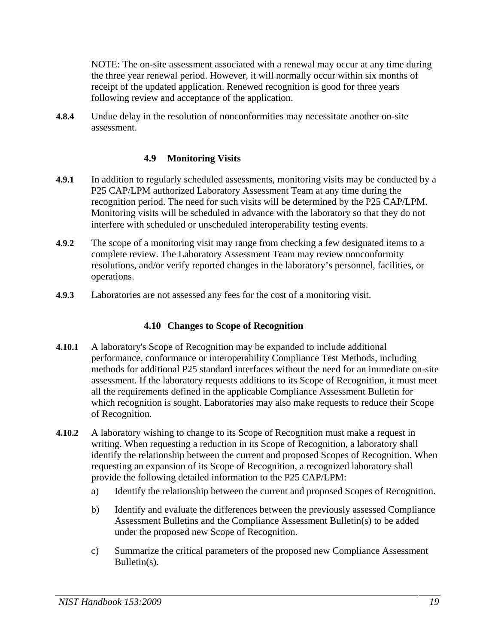NOTE: The on-site assessment associated with a renewal may occur at any time during the three year renewal period. However, it will normally occur within six months of receipt of the updated application. Renewed recognition is good for three years following review and acceptance of the application.

**4.8.4** Undue delay in the resolution of nonconformities may necessitate another on-site assessment.

## **4.9 Monitoring Visits**

- **4.9.1** In addition to regularly scheduled assessments, monitoring visits may be conducted by a P25 CAP/LPM authorized Laboratory Assessment Team at any time during the recognition period. The need for such visits will be determined by the P25 CAP/LPM. Monitoring visits will be scheduled in advance with the laboratory so that they do not interfere with scheduled or unscheduled interoperability testing events.
- **4.9.2** The scope of a monitoring visit may range from checking a few designated items to a complete review. The Laboratory Assessment Team may review nonconformity resolutions, and/or verify reported changes in the laboratory's personnel, facilities, or operations.
- **4.9.3** Laboratories are not assessed any fees for the cost of a monitoring visit.

# **4.10 Changes to Scope of Recognition**

- **4.10.1** A laboratory's Scope of Recognition may be expanded to include additional performance, conformance or interoperability Compliance Test Methods, including methods for additional P25 standard interfaces without the need for an immediate on-site assessment. If the laboratory requests additions to its Scope of Recognition, it must meet all the requirements defined in the applicable Compliance Assessment Bulletin for which recognition is sought. Laboratories may also make requests to reduce their Scope of Recognition.
- **4.10.2** A laboratory wishing to change to its Scope of Recognition must make a request in writing. When requesting a reduction in its Scope of Recognition, a laboratory shall identify the relationship between the current and proposed Scopes of Recognition. When requesting an expansion of its Scope of Recognition, a recognized laboratory shall provide the following detailed information to the P25 CAP/LPM:
	- a) Identify the relationship between the current and proposed Scopes of Recognition.
	- b) Identify and evaluate the differences between the previously assessed Compliance Assessment Bulletins and the Compliance Assessment Bulletin(s) to be added under the proposed new Scope of Recognition.
	- c) Summarize the critical parameters of the proposed new Compliance Assessment Bulletin(s).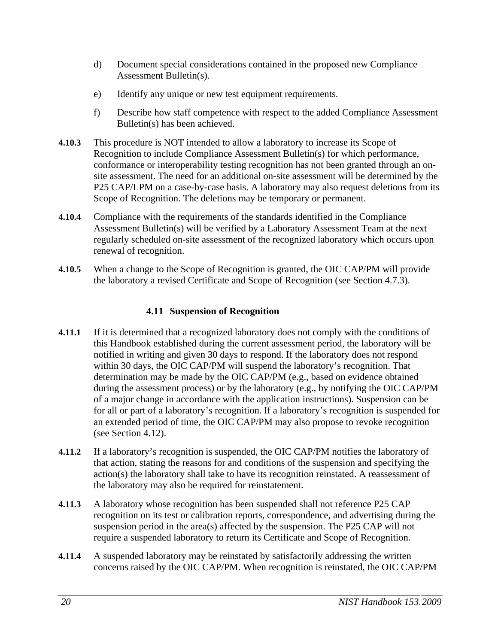- d) Document special considerations contained in the proposed new Compliance Assessment Bulletin(s).
- e) Identify any unique or new test equipment requirements.
- f) Describe how staff competence with respect to the added Compliance Assessment Bulletin(s) has been achieved.
- **4.10.3** This procedure is NOT intended to allow a laboratory to increase its Scope of Recognition to include Compliance Assessment Bulletin(s) for which performance, conformance or interoperability testing recognition has not been granted through an onsite assessment. The need for an additional on-site assessment will be determined by the P25 CAP/LPM on a case-by-case basis. A laboratory may also request deletions from its Scope of Recognition. The deletions may be temporary or permanent.
- **4.10.4** Compliance with the requirements of the standards identified in the Compliance Assessment Bulletin(s) will be verified by a Laboratory Assessment Team at the next regularly scheduled on-site assessment of the recognized laboratory which occurs upon renewal of recognition.
- **4.10.5** When a change to the Scope of Recognition is granted, the OIC CAP/PM will provide the laboratory a revised Certificate and Scope of Recognition (see Section 4.7.3).

## **4.11 Suspension of Recognition**

- **4.11.1** If it is determined that a recognized laboratory does not comply with the conditions of this Handbook established during the current assessment period, the laboratory will be notified in writing and given 30 days to respond. If the laboratory does not respond within 30 days, the OIC CAP/PM will suspend the laboratory's recognition. That determination may be made by the OIC CAP/PM (e.g., based on evidence obtained during the assessment process) or by the laboratory (e.g., by notifying the OIC CAP/PM of a major change in accordance with the application instructions). Suspension can be for all or part of a laboratory's recognition. If a laboratory's recognition is suspended for an extended period of time, the OIC CAP/PM may also propose to revoke recognition (see Section 4.12).
- **4.11.2** If a laboratory's recognition is suspended, the OIC CAP/PM notifies the laboratory of that action, stating the reasons for and conditions of the suspension and specifying the action(s) the laboratory shall take to have its recognition reinstated. A reassessment of the laboratory may also be required for reinstatement.
- **4.11.3** A laboratory whose recognition has been suspended shall not reference P25 CAP recognition on its test or calibration reports, correspondence, and advertising during the suspension period in the area(s) affected by the suspension. The P25 CAP will not require a suspended laboratory to return its Certificate and Scope of Recognition.
- **4.11.4** A suspended laboratory may be reinstated by satisfactorily addressing the written concerns raised by the OIC CAP/PM. When recognition is reinstated, the OIC CAP/PM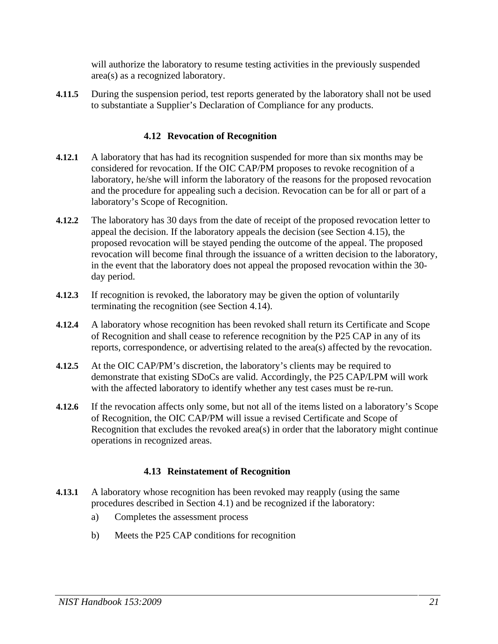will authorize the laboratory to resume testing activities in the previously suspended area(s) as a recognized laboratory.

**4.11.5** During the suspension period, test reports generated by the laboratory shall not be used to substantiate a Supplier's Declaration of Compliance for any products.

## **4.12 Revocation of Recognition**

- **4.12.1** A laboratory that has had its recognition suspended for more than six months may be considered for revocation. If the OIC CAP/PM proposes to revoke recognition of a laboratory, he/she will inform the laboratory of the reasons for the proposed revocation and the procedure for appealing such a decision. Revocation can be for all or part of a laboratory's Scope of Recognition.
- **4.12.2** The laboratory has 30 days from the date of receipt of the proposed revocation letter to appeal the decision. If the laboratory appeals the decision (see Section 4.15), the proposed revocation will be stayed pending the outcome of the appeal. The proposed revocation will become final through the issuance of a written decision to the laboratory, in the event that the laboratory does not appeal the proposed revocation within the 30 day period.
- **4.12.3** If recognition is revoked, the laboratory may be given the option of voluntarily terminating the recognition (see Section 4.14).
- **4.12.4** A laboratory whose recognition has been revoked shall return its Certificate and Scope of Recognition and shall cease to reference recognition by the P25 CAP in any of its reports, correspondence, or advertising related to the area(s) affected by the revocation.
- **4.12.5** At the OIC CAP/PM's discretion, the laboratory's clients may be required to demonstrate that existing SDoCs are valid. Accordingly, the P25 CAP/LPM will work with the affected laboratory to identify whether any test cases must be re-run.
- **4.12.6** If the revocation affects only some, but not all of the items listed on a laboratory's Scope of Recognition, the OIC CAP/PM will issue a revised Certificate and Scope of Recognition that excludes the revoked area(s) in order that the laboratory might continue operations in recognized areas.

#### **4.13 Reinstatement of Recognition**

- **4.13.1** A laboratory whose recognition has been revoked may reapply (using the same procedures described in Section 4.1) and be recognized if the laboratory:
	- a) Completes the assessment process
	- b) Meets the P25 CAP conditions for recognition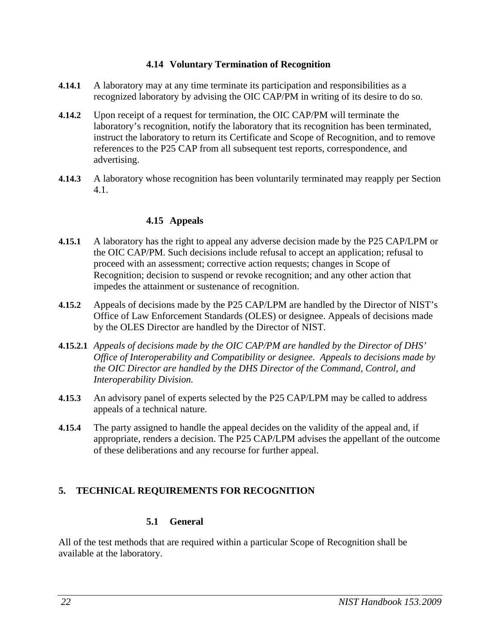#### **4.14 Voluntary Termination of Recognition**

- **4.14.1** A laboratory may at any time terminate its participation and responsibilities as a recognized laboratory by advising the OIC CAP/PM in writing of its desire to do so.
- **4.14.2** Upon receipt of a request for termination, the OIC CAP/PM will terminate the laboratory's recognition, notify the laboratory that its recognition has been terminated, instruct the laboratory to return its Certificate and Scope of Recognition, and to remove references to the P25 CAP from all subsequent test reports, correspondence, and advertising.
- **4.14.3** A laboratory whose recognition has been voluntarily terminated may reapply per Section 4.1.

#### **4.15 Appeals**

- **4.15.1** A laboratory has the right to appeal any adverse decision made by the P25 CAP/LPM or the OIC CAP/PM. Such decisions include refusal to accept an application; refusal to proceed with an assessment; corrective action requests; changes in Scope of Recognition; decision to suspend or revoke recognition; and any other action that impedes the attainment or sustenance of recognition.
- **4.15.2** Appeals of decisions made by the P25 CAP/LPM are handled by the Director of NIST's Office of Law Enforcement Standards (OLES) or designee. Appeals of decisions made by the OLES Director are handled by the Director of NIST.
- **4.15.2.1** *Appeals of decisions made by the OIC CAP/PM are handled by the Director of DHS' Office of Interoperability and Compatibility or designee. Appeals to decisions made by the OIC Director are handled by the DHS Director of the Command, Control, and Interoperability Division.*
- **4.15.3** An advisory panel of experts selected by the P25 CAP/LPM may be called to address appeals of a technical nature.
- **4.15.4** The party assigned to handle the appeal decides on the validity of the appeal and, if appropriate, renders a decision. The P25 CAP/LPM advises the appellant of the outcome of these deliberations and any recourse for further appeal.

## **5. TECHNICAL REQUIREMENTS FOR RECOGNITION**

## **5.1 General**

All of the test methods that are required within a particular Scope of Recognition shall be available at the laboratory.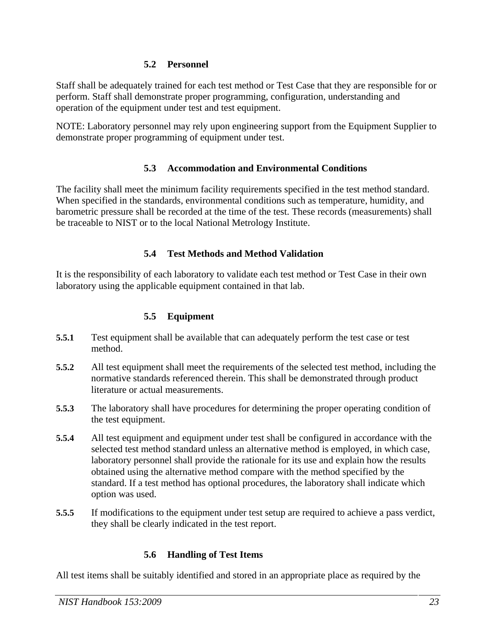## **5.2 Personnel**

Staff shall be adequately trained for each test method or Test Case that they are responsible for or perform. Staff shall demonstrate proper programming, configuration, understanding and operation of the equipment under test and test equipment.

NOTE: Laboratory personnel may rely upon engineering support from the Equipment Supplier to demonstrate proper programming of equipment under test.

# **5.3 Accommodation and Environmental Conditions**

The facility shall meet the minimum facility requirements specified in the test method standard. When specified in the standards, environmental conditions such as temperature, humidity, and barometric pressure shall be recorded at the time of the test. These records (measurements) shall be traceable to NIST or to the local National Metrology Institute.

# **5.4 Test Methods and Method Validation**

It is the responsibility of each laboratory to validate each test method or Test Case in their own laboratory using the applicable equipment contained in that lab.

# **5.5 Equipment**

- **5.5.1** Test equipment shall be available that can adequately perform the test case or test method.
- **5.5.2** All test equipment shall meet the requirements of the selected test method, including the normative standards referenced therein. This shall be demonstrated through product literature or actual measurements.
- **5.5.3** The laboratory shall have procedures for determining the proper operating condition of the test equipment.
- **5.5.4** All test equipment and equipment under test shall be configured in accordance with the selected test method standard unless an alternative method is employed, in which case, laboratory personnel shall provide the rationale for its use and explain how the results obtained using the alternative method compare with the method specified by the standard. If a test method has optional procedures, the laboratory shall indicate which option was used.
- **5.5.5** If modifications to the equipment under test setup are required to achieve a pass verdict, they shall be clearly indicated in the test report.

# **5.6 Handling of Test Items**

All test items shall be suitably identified and stored in an appropriate place as required by the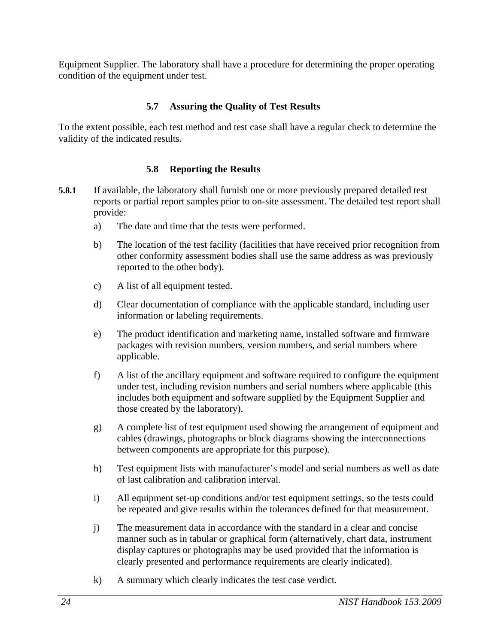Equipment Supplier. The laboratory shall have a procedure for determining the proper operating condition of the equipment under test.

# **5.7 Assuring the Quality of Test Results**

To the extent possible, each test method and test case shall have a regular check to determine the validity of the indicated results.

## **5.8 Reporting the Results**

- **5.8.1** If available, the laboratory shall furnish one or more previously prepared detailed test reports or partial report samples prior to on-site assessment. The detailed test report shall provide:
	- a) The date and time that the tests were performed.
	- b) The location of the test facility (facilities that have received prior recognition from other conformity assessment bodies shall use the same address as was previously reported to the other body).
	- c) A list of all equipment tested.
	- d) Clear documentation of compliance with the applicable standard, including user information or labeling requirements.
	- e) The product identification and marketing name, installed software and firmware packages with revision numbers, version numbers, and serial numbers where applicable.
	- f) A list of the ancillary equipment and software required to configure the equipment under test, including revision numbers and serial numbers where applicable (this includes both equipment and software supplied by the Equipment Supplier and those created by the laboratory).
	- g) A complete list of test equipment used showing the arrangement of equipment and cables (drawings, photographs or block diagrams showing the interconnections between components are appropriate for this purpose).
	- h) Test equipment lists with manufacturer's model and serial numbers as well as date of last calibration and calibration interval.
	- i) All equipment set-up conditions and/or test equipment settings, so the tests could be repeated and give results within the tolerances defined for that measurement.
	- j) The measurement data in accordance with the standard in a clear and concise manner such as in tabular or graphical form (alternatively, chart data, instrument display captures or photographs may be used provided that the information is clearly presented and performance requirements are clearly indicated).
	- k) A summary which clearly indicates the test case verdict.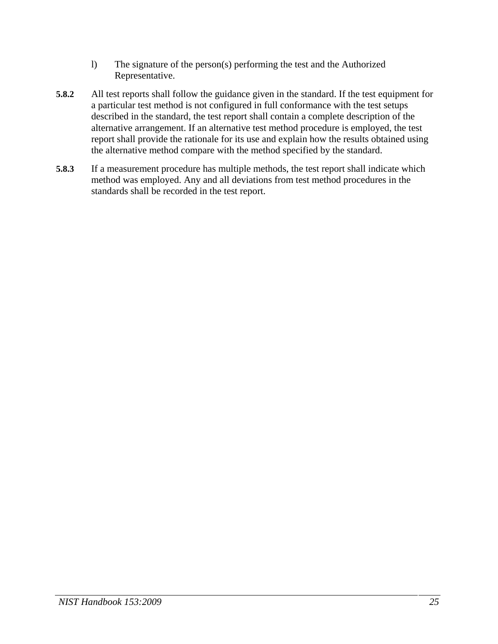- l) The signature of the person(s) performing the test and the Authorized Representative.
- **5.8.2** All test reports shall follow the guidance given in the standard. If the test equipment for a particular test method is not configured in full conformance with the test setups described in the standard, the test report shall contain a complete description of the alternative arrangement. If an alternative test method procedure is employed, the test report shall provide the rationale for its use and explain how the results obtained using the alternative method compare with the method specified by the standard.
- **5.8.3** If a measurement procedure has multiple methods, the test report shall indicate which method was employed. Any and all deviations from test method procedures in the standards shall be recorded in the test report.